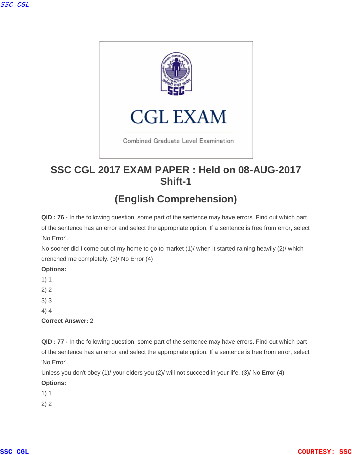

## **SSC CGL 2017 EXAM PAPER : Held on 08-AUG-2017 Shift-1**

# **(English Comprehension)**

**QID : 76 -** In the following question, some part of the sentence may have errors. Find out which part of the sentence has an error and select the appropriate option. If a sentence is free from error, select 'No Error'.

No sooner did I come out of my home to go to market (1)/ when it started raining heavily (2)/ which drenched me completely. (3)/ No Error (4)

## **Options:**

1) 1

- 2) 2
- 3) 3
- 4) 4

**Correct Answer:** 2

**QID : 77 -** In the following question, some part of the sentence may have errors. Find out which part of the sentence has an error and select the appropriate option. If a sentence is free from error, select 'No Error'.

Unless you don't obey (1)/ your elders you (2)/ will not succeed in your life. (3)/ No Error (4)

### **Options:**

1) 1

2) 2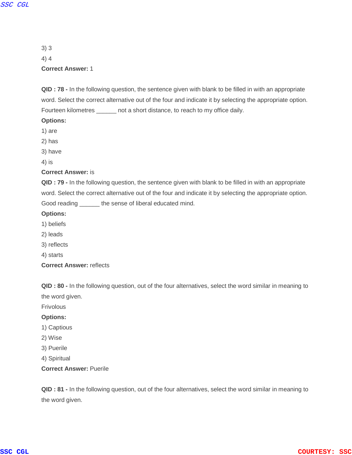3) 3 4) 4 **Correct Answer:** 1

**QID : 78 -** In the following question, the sentence given with blank to be filled in with an appropriate word. Select the correct alternative out of the four and indicate it by selecting the appropriate option. Fourteen kilometres \_\_\_\_\_\_ not a short distance, to reach to my office daily.

#### **Options:**

- 1) are
- 2) has
- 3) have
- 4) is

#### **Correct Answer:** is

**QID : 79 -** In the following question, the sentence given with blank to be filled in with an appropriate word. Select the correct alternative out of the four and indicate it by selecting the appropriate option. Good reading \_\_\_\_\_\_ the sense of liberal educated mind.

#### **Options:**

- 1) beliefs
- 2) leads
- 3) reflects
- 4) starts
- **Correct Answer:** reflects

**QID : 80 -** In the following question, out of the four alternatives, select the word similar in meaning to the word given.

Frivolous

#### **Options:**

- 1) Captious
- 2) Wise
- 3) Puerile
- 4) Spiritual

#### **Correct Answer:** Puerile

**QID : 81 -** In the following question, out of the four alternatives, select the word similar in meaning to the word given.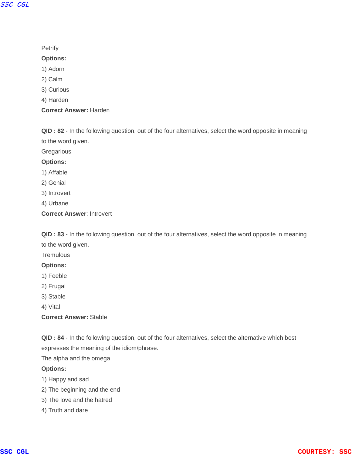### **Petrify**

#### **Options:**

- 1) Adorn
- 2) Calm
- 3) Curious
- 4) Harden
- **Correct Answer:** Harden

**QID : 82** - In the following question, out of the four alternatives, select the word opposite in meaning to the word given.

**Gregarious** 

#### **Options:**

- 1) Affable
- 2) Genial
- 3) Introvert
- 4) Urbane
- **Correct Answer**: Introvert

**QID : 83 -** In the following question, out of the four alternatives, select the word opposite in meaning to the word given.

**Tremulous** 

#### **Options:**

- 1) Feeble
- 2) Frugal
- 3) Stable
- 4) Vital

### **Correct Answer:** Stable

**QID : 84** - In the following question, out of the four alternatives, select the alternative which best expresses the meaning of the idiom/phrase.

The alpha and the omega

#### **Options:**

- 1) Happy and sad
- 2) The beginning and the end
- 3) The love and the hatred
- 4) Truth and dare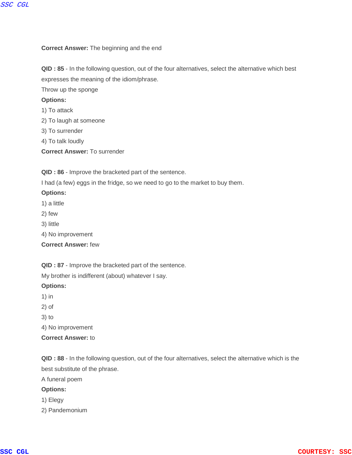#### **Correct Answer:** The beginning and the end

**QID : 85** - In the following question, out of the four alternatives, select the alternative which best expresses the meaning of the idiom/phrase.

Throw up the sponge

#### **Options:**

- 1) To attack
- 2) To laugh at someone
- 3) To surrender
- 4) To talk loudly
- **Correct Answer:** To surrender

**QID : 86** - Improve the bracketed part of the sentence.

I had (a few) eggs in the fridge, so we need to go to the market to buy them.

#### **Options:**

- 1) a little
- 2) few
- 3) little
- 4) No improvement

**Correct Answer:** few

**QID : 87** - Improve the bracketed part of the sentence.

My brother is indifferent (about) whatever I say.

### **Options:**

- 1) in
- 2) of
- 3) to

4) No improvement

**Correct Answer:** to

**QID : 88** - In the following question, out of the four alternatives, select the alternative which is the best substitute of the phrase.

A funeral poem

#### **Options:**

- 1) Elegy
- 2) Pandemonium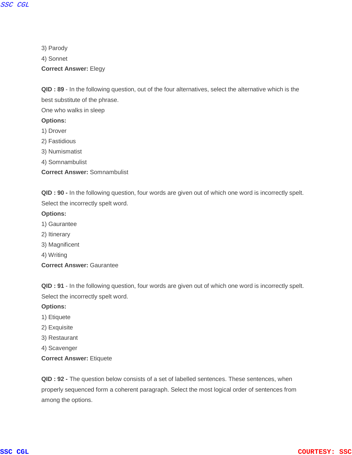3) Parody 4) Sonnet

**Correct Answer:** Elegy

**QID : 89** - In the following question, out of the four alternatives, select the alternative which is the best substitute of the phrase.

One who walks in sleep

#### **Options:**

- 1) Drover
- 2) Fastidious
- 3) Numismatist
- 4) Somnambulist
- **Correct Answer:** Somnambulist

**QID : 90 -** In the following question, four words are given out of which one word is incorrectly spelt. Select the incorrectly spelt word.

#### **Options:**

- 1) Gaurantee
- 2) Itinerary
- 3) Magnificent
- 4) Writing
- **Correct Answer:** Gaurantee

**QID : 91** - In the following question, four words are given out of which one word is incorrectly spelt. Select the incorrectly spelt word.

#### **Options:**

- 1) Etiquete
- 2) Exquisite
- 3) Restaurant
- 4) Scavenger
- **Correct Answer:** Etiquete

**QID : 92 -** The question below consists of a set of labelled sentences. These sentences, when properly sequenced form a coherent paragraph. Select the most logical order of sentences from among the options.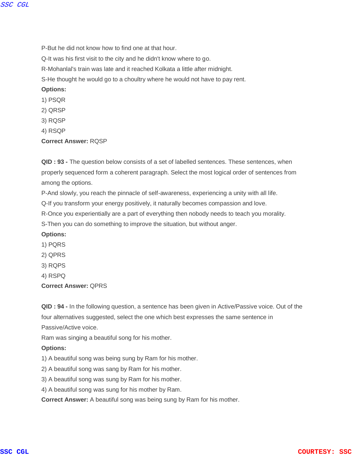P-But he did not know how to find one at that hour.

Q-It was his first visit to the city and he didn't know where to go.

R-Mohanlal's train was late and it reached Kolkata a little after midnight.

S-He thought he would go to a choultry where he would not have to pay rent.

**Options:**

- 1) PSQR
- 2) QRSP
- 3) RQSP
- 4) RSQP

#### **Correct Answer:** RQSP

**QID : 93 -** The question below consists of a set of labelled sentences. These sentences, when properly sequenced form a coherent paragraph. Select the most logical order of sentences from among the options.

P-And slowly, you reach the pinnacle of self-awareness, experiencing a unity with all life.

Q-If you transform your energy positively, it naturally becomes compassion and love.

R-Once you experientially are a part of everything then nobody needs to teach you morality.

S-Then you can do something to improve the situation, but without anger.

#### **Options:**

- 1) PQRS
- 2) QPRS
- 3) RQPS
- 4) RSPQ
- **Correct Answer:** QPRS

**QID : 94 -** In the following question, a sentence has been given in Active/Passive voice. Out of the four alternatives suggested, select the one which best expresses the same sentence in Passive/Active voice.

Ram was singing a beautiful song for his mother.

#### **Options:**

1) A beautiful song was being sung by Ram for his mother.

2) A beautiful song was sang by Ram for his mother.

3) A beautiful song was sung by Ram for his mother.

4) A beautiful song was sung for his mother by Ram.

**Correct Answer:** A beautiful song was being sung by Ram for his mother.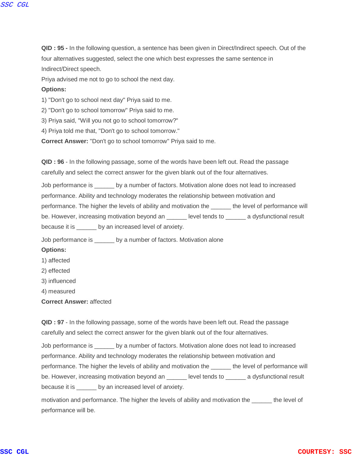**QID : 95 -** In the following question, a sentence has been given in Direct/Indirect speech. Out of the four alternatives suggested, select the one which best expresses the same sentence in Indirect/Direct speech.

Priya advised me not to go to school the next day.

#### **Options:**

1) "Don't go to school next day" Priya said to me.

2) "Don't go to school tomorrow" Priya said to me.

3) Priya said, "Will you not go to school tomorrow?"

4) Priya told me that, "Don't go to school tomorrow."

**Correct Answer:** "Don't go to school tomorrow" Priya said to me.

**QID : 96** - In the following passage, some of the words have been left out. Read the passage carefully and select the correct answer for the given blank out of the four alternatives.

Job performance is \_\_\_\_\_\_ by a number of factors. Motivation alone does not lead to increased performance. Ability and technology moderates the relationship between motivation and performance. The higher the levels of ability and motivation the \_\_\_\_\_\_ the level of performance will be. However, increasing motivation beyond an \_\_\_\_\_ level tends to \_\_\_\_\_\_ a dysfunctional result because it is \_\_\_\_\_\_ by an increased level of anxiety.

Job performance is \_\_\_\_\_\_ by a number of factors. Motivation alone

#### **Options:**

- 1) affected
- 2) effected
- 3) influenced
- 4) measured

**Correct Answer:** affected

**QID : 97** - In the following passage, some of the words have been left out. Read the passage carefully and select the correct answer for the given blank out of the four alternatives.

Job performance is \_\_\_\_\_\_ by a number of factors. Motivation alone does not lead to increased performance. Ability and technology moderates the relationship between motivation and performance. The higher the levels of ability and motivation the \_\_\_\_\_\_ the level of performance will be. However, increasing motivation beyond an divel tends to a dysfunctional result because it is \_\_\_\_\_\_ by an increased level of anxiety.

motivation and performance. The higher the levels of ability and motivation the the level of performance will be.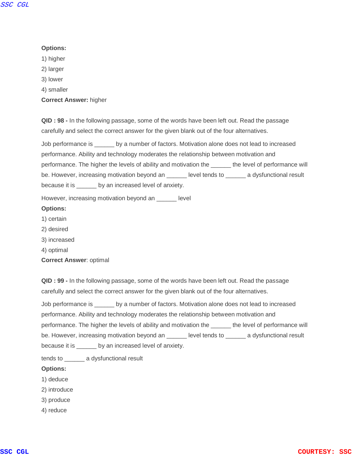#### **Options:**

- 1) higher
- 2) larger
- 3) lower
- 4) smaller

**Correct Answer:** higher

**QID : 98 -** In the following passage, some of the words have been left out. Read the passage carefully and select the correct answer for the given blank out of the four alternatives.

Job performance is \_\_\_\_\_\_ by a number of factors. Motivation alone does not lead to increased performance. Ability and technology moderates the relationship between motivation and performance. The higher the levels of ability and motivation the \_\_\_\_\_\_ the level of performance will be. However, increasing motivation beyond an \_\_\_\_\_ level tends to \_\_\_\_\_\_ a dysfunctional result because it is \_\_\_\_\_\_ by an increased level of anxiety.

However, increasing motivation beyond an \_\_\_\_\_\_ level

#### **Options:**

- 1) certain
- 2) desired
- 3) increased
- 4) optimal

**Correct Answer**: optimal

**QID : 99 -** In the following passage, some of the words have been left out. Read the passage carefully and select the correct answer for the given blank out of the four alternatives.

Job performance is \_\_\_\_\_\_ by a number of factors. Motivation alone does not lead to increased performance. Ability and technology moderates the relationship between motivation and performance. The higher the levels of ability and motivation the \_\_\_\_\_\_ the level of performance will be. However, increasing motivation beyond an \_\_\_\_\_\_ level tends to \_\_\_\_\_\_\_ a dysfunctional result because it is \_\_\_\_\_\_ by an increased level of anxiety.

tends to \_\_\_\_\_\_ a dysfunctional result

#### **Options:**

- 1) deduce
- 2) introduce
- 3) produce
- 4) reduce